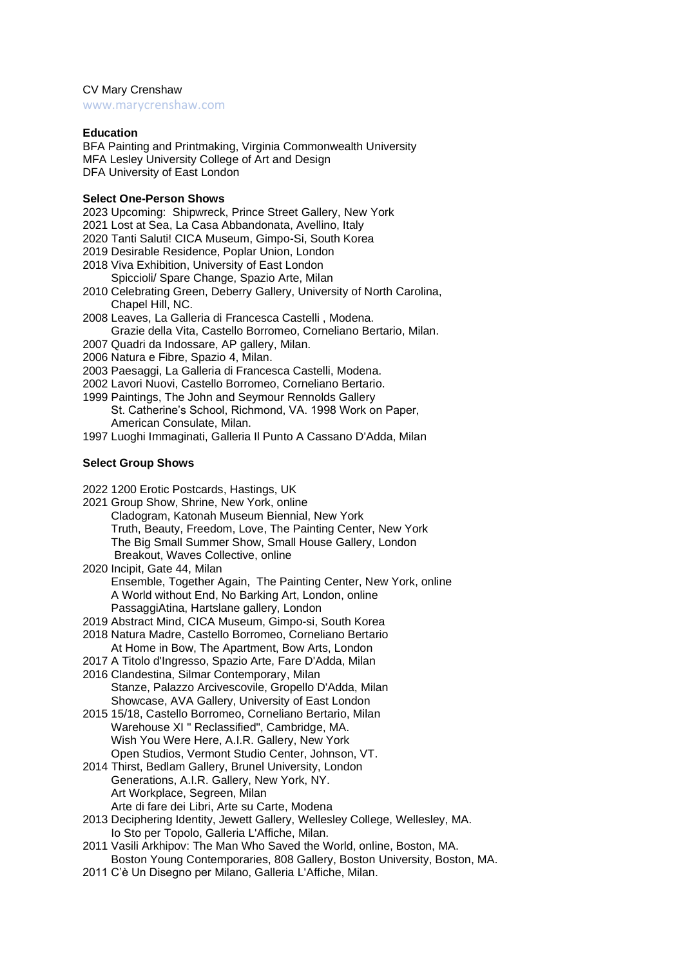CV Mary Crenshaw

[www.marycrenshaw.com](https://www.marycrenshaw.com/)

# **Education**

BFA Painting and Printmaking, Virginia Commonwealth University MFA Lesley University College of Art and Design DFA University of East London

# **Select One-Person Shows**

- 2023 Upcoming: Shipwreck, Prince Street Gallery, New York
- 2021 Lost at Sea, La Casa Abbandonata, Avellino, Italy
- 2020 Tanti Saluti! CICA Museum, Gimpo-Si, South Korea
- 2019 Desirable Residence, Poplar Union, London
- 2018 Viva Exhibition, University of East London
- Spiccioli/ Spare Change, Spazio Arte, Milan
- 2010 Celebrating Green, Deberry Gallery, University of North Carolina, Chapel Hill, NC.
- 2008 Leaves, La Galleria di Francesca Castelli , Modena. Grazie della Vita, Castello Borromeo, Corneliano Bertario, Milan.
- 2007 Quadri da Indossare, AP gallery, Milan.
- 2006 Natura e Fibre, Spazio 4, Milan.
- 2003 Paesaggi, La Galleria di Francesca Castelli, Modena.
- 2002 Lavori Nuovi, Castello Borromeo, Corneliano Bertario.
- 1999 Paintings, The John and Seymour Rennolds Gallery
	- St. Catherine's School, Richmond, VA. 1998 Work on Paper, American Consulate, Milan.
- 1997 Luoghi Immaginati, Galleria Il Punto A Cassano D'Adda, Milan

# **Select Group Shows**

- 2022 1200 Erotic Postcards, Hastings, UK
- 2021 Group Show, Shrine, New York, online Cladogram, Katonah Museum Biennial, New York Truth, Beauty, Freedom, Love, The Painting Center, New York The Big Small Summer Show, Small House Gallery, London Breakout, Waves Collective, online
- 2020 Incipit, Gate 44, Milan Ensemble, Together Again, The Painting Center, New York, online A World without End, No Barking Art, London, online PassaggiAtina, Hartslane gallery, London
- 2019 Abstract Mind, CICA Museum, Gimpo-si, South Korea
- 2018 Natura Madre, Castello Borromeo, Corneliano Bertario
- At Home in Bow, The Apartment, Bow Arts, London
- 2017 A Titolo d'Ingresso, Spazio Arte, Fare D'Adda, Milan 2016 Clandestina, Silmar Contemporary, Milan Stanze, Palazzo Arcivescovile, Gropello D'Adda, Milan
- Showcase, AVA Gallery, University of East London 2015 15/18, Castello Borromeo, Corneliano Bertario, Milan Warehouse XI " Reclassified", Cambridge, MA. Wish You Were Here, A.I.R. Gallery, New York Open Studios, Vermont Studio Center, Johnson, VT.
- 2014 Thirst, Bedlam Gallery, Brunel University, London Generations, A.I.R. Gallery, New York, NY. Art Workplace, Segreen, Milan
	- Arte di fare dei Libri, Arte su Carte, Modena
- 2013 Deciphering Identity, Jewett Gallery, Wellesley College, Wellesley, MA. Io Sto per Topolo, Galleria L'Affiche, Milan.
- 2011 Vasili Arkhipov: The Man Who Saved the World, online, Boston, MA. Boston Young Contemporaries, 808 Gallery, Boston University, Boston, MA.
- 2011 C'è Un Disegno per Milano, Galleria L'Affiche, Milan.